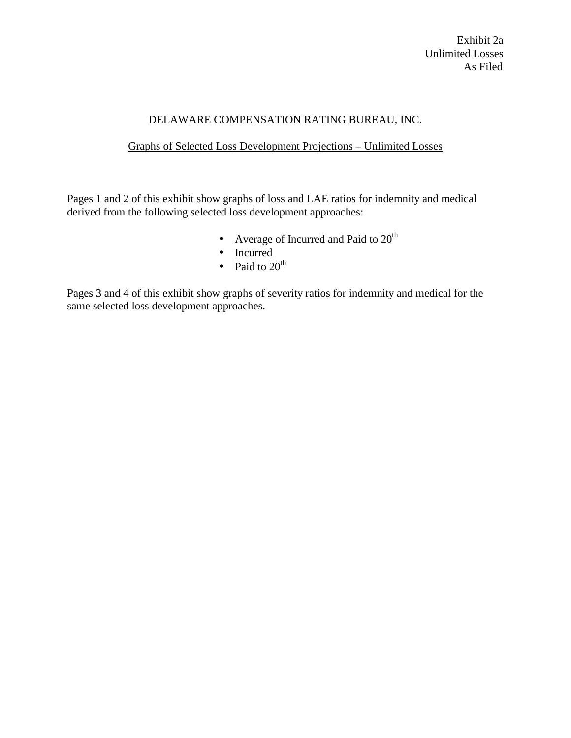## DELAWARE COMPENSATION RATING BUREAU, INC.

## Graphs of Selected Loss Development Projections – Unlimited Losses

Pages 1 and 2 of this exhibit show graphs of loss and LAE ratios for indemnity and medical derived from the following selected loss development approaches:

- Average of Incurred and Paid to  $20<sup>th</sup>$
- Incurred
- Paid to  $20<sup>th</sup>$

Pages 3 and 4 of this exhibit show graphs of severity ratios for indemnity and medical for the same selected loss development approaches.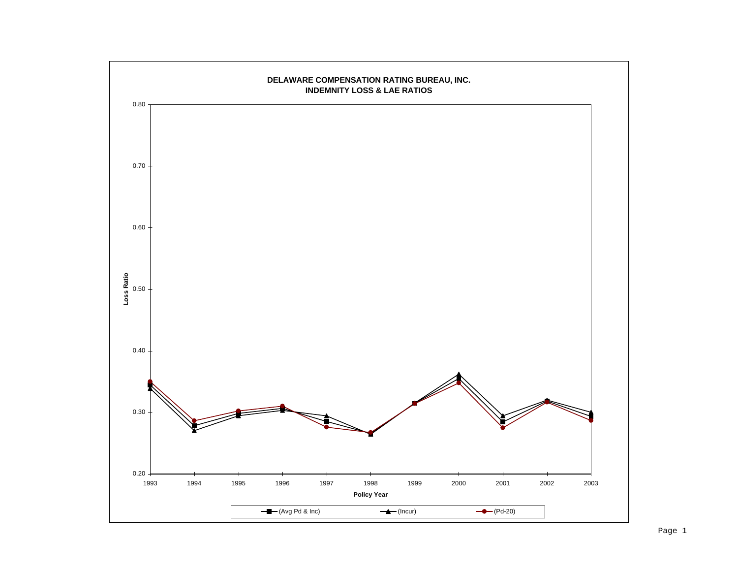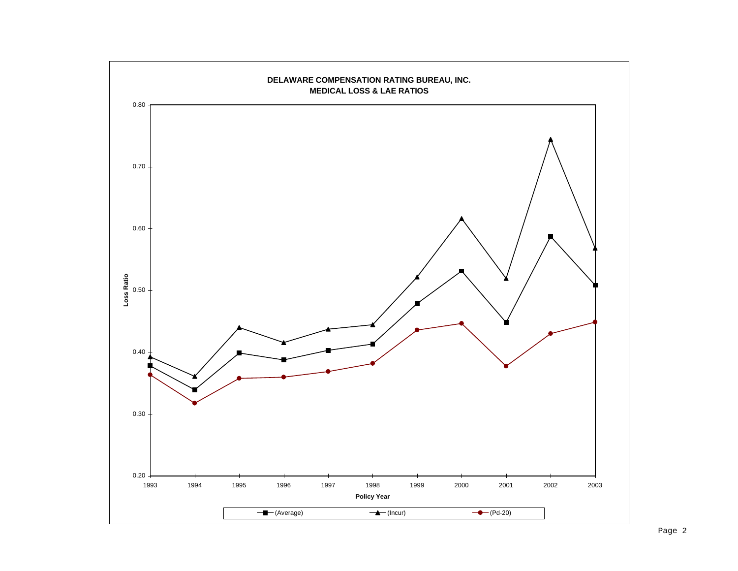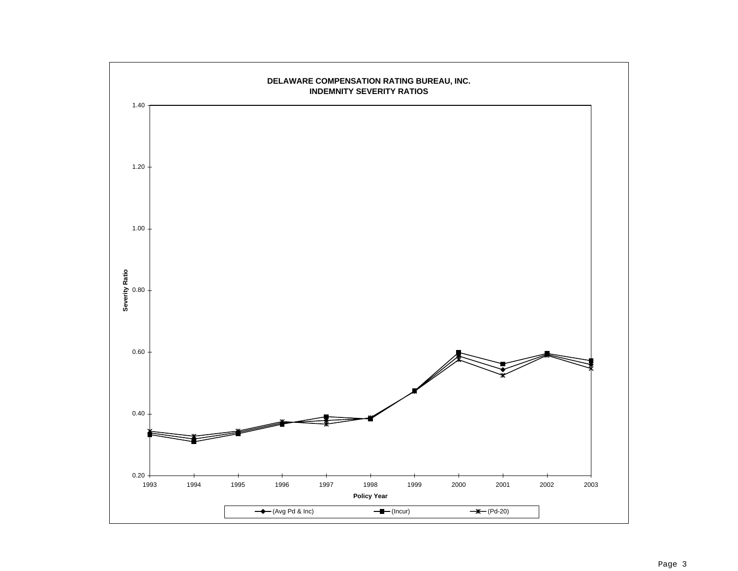